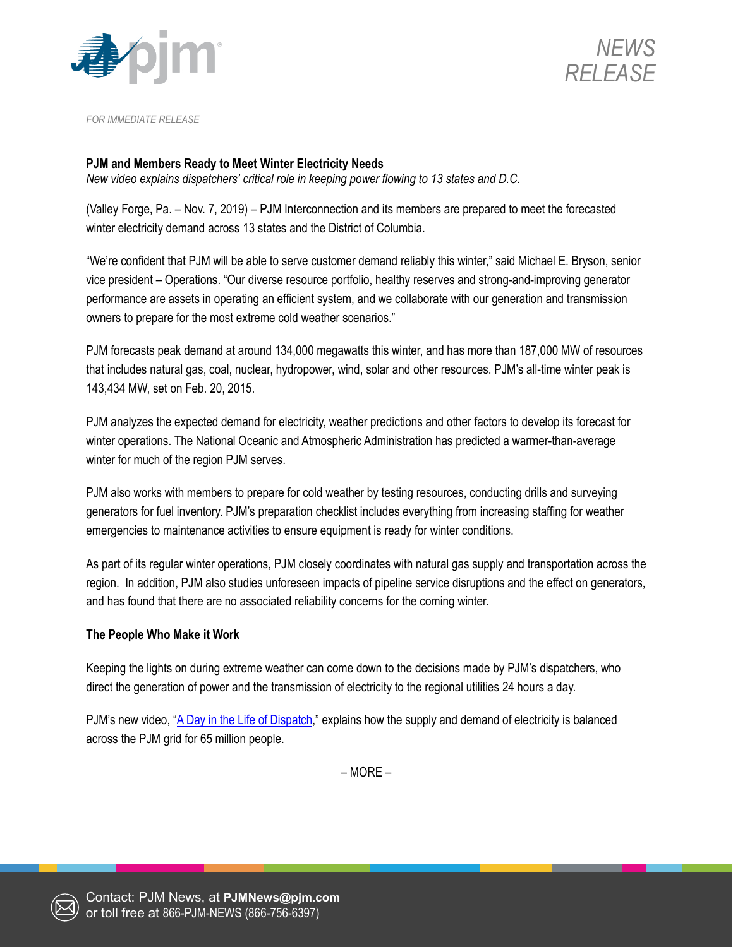



*FOR IMMEDIATE RELEASE*

## **PJM and Members Ready to Meet Winter Electricity Needs**

*New video explains dispatchers' critical role in keeping power flowing to 13 states and D.C.*

(Valley Forge, Pa. – Nov. 7, 2019) – PJM Interconnection and its members are prepared to meet the forecasted winter electricity demand across 13 states and the District of Columbia.

"We're confident that PJM will be able to serve customer demand reliably this winter," said Michael E. Bryson, senior vice president – Operations. "Our diverse resource portfolio, healthy reserves and strong-and-improving generator performance are assets in operating an efficient system, and we collaborate with our generation and transmission owners to prepare for the most extreme cold weather scenarios."

PJM forecasts peak demand at around 134,000 megawatts this winter, and has more than 187,000 MW of resources that includes natural gas, coal, nuclear, hydropower, wind, solar and other resources. PJM's all-time winter peak is 143,434 MW, set on Feb. 20, 2015.

PJM analyzes the expected demand for electricity, weather predictions and other factors to develop its forecast for winter operations. The National Oceanic and Atmospheric Administration has predicted a warmer-than-average winter for much of the region PJM serves.

PJM also works with members to prepare for cold weather by testing resources, conducting drills and surveying generators for fuel inventory. PJM's preparation checklist includes everything from increasing staffing for weather emergencies to maintenance activities to ensure equipment is ready for winter conditions.

As part of its regular winter operations, PJM closely coordinates with natural gas supply and transportation across the region. In addition, PJM also studies unforeseen impacts of pipeline service disruptions and the effect on generators, and has found that there are no associated reliability concerns for the coming winter.

## **The People Who Make it Work**

Keeping the lights on during extreme weather can come down to the decisions made by PJM's dispatchers, who direct the generation of power and the transmission of electricity to the regional utilities 24 hours a day.

PJM's new video, ["A Day in the Life of Dispatch,](https://youtu.be/hDNouhlJWa4)" explains how the supply and demand of electricity is balanced across the PJM grid for 65 million people.

– MORE –